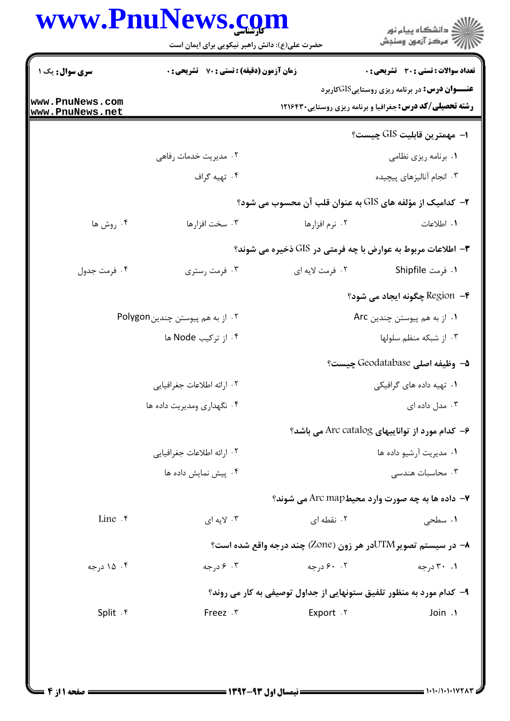| www.PnuNews.com                               |  |
|-----------------------------------------------|--|
| حضرت علی(ع): دانش راهبر نیکویی برای ایمان است |  |

|                                    | حضرت علی(ع): دانش راهبر نیکویی برای ایمان است      |                                                                      | ڪ دانشڪاه پيام نور<br>پ <sup>ر</sup> مرڪز آزمون وسنڊش |
|------------------------------------|----------------------------------------------------|----------------------------------------------------------------------|-------------------------------------------------------|
| <b>سری سوال :</b> یک ۱             | <b>زمان آزمون (دقیقه) : تستی : 70 ٪ تشریحی : 0</b> |                                                                      | <b>تعداد سوالات : تستی : 30 ٪ تشریحی : 0</b>          |
| www.PnuNews.com<br>www.PnuNews.net |                                                    | <b>رشته تحصیلی/کد درس:</b> جغرافیا و برنامه ریزی روستایی ۱۲۱۶۴۳۰     | <b>عنـــوان درس:</b> در برنامه ریزی روستاییGISکاربرد  |
|                                    |                                                    |                                                                      | ا− مهمترين قابليت GIS چيست؟                           |
|                                    | ۰۲ مدیریت خدمات رفاهی                              |                                                                      | ۰۱ برنامه ریزی نظامی                                  |
|                                    | ۰۴ تهیه گراف                                       |                                                                      | ۰۳ انجام آنالیزهای پیچیده                             |
|                                    |                                                    | ۲- کدامیک از مؤلفه های GIS به عنوان قلب آن محسوب می شود؟             |                                                       |
| ۰۴ روش ها                          | ۰۳ سخت افزارها                                     | ۰۲ نرم افزارها                                                       | ١. اطلاعات                                            |
|                                    |                                                    | <b>۳</b> - اطلاعات مربوط به عوارض با چه فرمتی در GIS ذخیره می شوند؟  |                                                       |
| ۰۴ فرمت جدول                       | ۰۳ فرمت رستري                                      | ۰۲ فرمت لايه اي                                                      | ۱. فرمت Shipfile                                      |
|                                    |                                                    |                                                                      | ۴− Region چگونه ایجاد می شود؟                         |
|                                    | ۰۲ از به هم پیوستن چندینPolygon                    |                                                                      | ٠١ از به هم پيوستن چندين Arc                          |
|                                    | ۰۴ از ترکیب Node ها                                |                                                                      | ۰۳ از شبکه منظم سلولها                                |
|                                    |                                                    |                                                                      | 4− وظيفه اصلي Geodatabase چيست؟                       |
|                                    | ٠٢ ارائه اطلاعات جغرافيايي                         | ۰۱ تهیه داده های گرافیکی                                             |                                                       |
|                                    | ۰۴ نگهداری ومدیریت داده ها                         | ۰۳ مدل داده ای                                                       |                                                       |
|                                    |                                                    | ۶- کدام مورد از تواناییهای Arc catalog می باشد؟                      |                                                       |
|                                    | ٠٢ ارائه اطلاعات جغرافيايي                         |                                                                      | ۰۱ مدیریت آرشیو داده ها                               |
|                                    | ۰۴ پیش نمایش داده ها                               |                                                                      | ۰۳ محاسبات هندسی                                      |
|                                    |                                                    | ۷- داده ها به چه صورت وارد محیطArc map می شوند؟                      |                                                       |
| Line $\cdot$                       | ۰۳ لایه ای                                         | ۰۲ نقطه ای                                                           | ۰۱ سطحی                                               |
|                                    |                                                    | ۸− در سیستم تصویرUTMدر هر زون (Zone) چند درجه واقع شده است؟          |                                                       |
| ۰۴ ۱۵ درجه                         | ۰۳ ۶ درجه                                          | ۰۲ ۶۰ د, جه                                                          | ۰.۱ ۳۰ درجه                                           |
|                                    |                                                    | ۹- کدام مورد به منظور تلفیق ستونهایی از جداول توصیفی به کار می روند؟ |                                                       |
| Split . ۴                          | Freez . ٣                                          | Export . Y                                                           | Join .1                                               |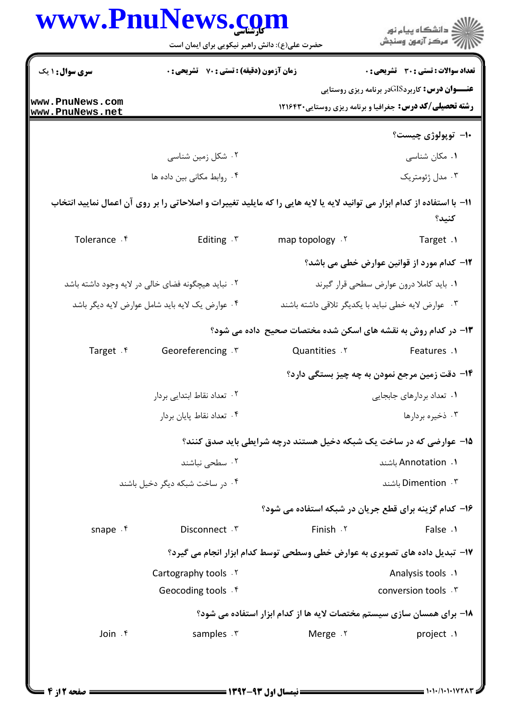|                              | حضرت علی(ع): دانش راهبر نیکویی برای ایمان است                                                                             |                                                                             | ڪ دانشڪاه پيا <sub>م</sub> نور<br>ر <i>7</i> مرڪز آزمون وسنڊش                                                            |
|------------------------------|---------------------------------------------------------------------------------------------------------------------------|-----------------------------------------------------------------------------|--------------------------------------------------------------------------------------------------------------------------|
| <b>سری سوال :</b> ۱ یک       | زمان آزمون (دقیقه) : تستی : 70 گشریحی : 0                                                                                 |                                                                             | <b>تعداد سوالات : تستي : 30 ٪ تشريحي : 0</b>                                                                             |
| www.PnuNews.com              |                                                                                                                           |                                                                             | <b>عنـــوان درس:</b> کاربردGISدر برنامه ریزی روستایی<br><b>رشته تحصیلی/کد درس:</b> جغرافیا و برنامه ریزی روستایی ۱۲۱۶۴۳۰ |
| www.PnuNews.net              |                                                                                                                           |                                                                             | ۱۰– توپولوژی چیست؟                                                                                                       |
|                              | ۰۲ شکل زمین شناسی                                                                                                         |                                                                             | ۰۱ مکان شناسی                                                                                                            |
|                              | ۰۴ روابط مكاني بين داده ها                                                                                                |                                                                             | ۰۳ مدل ژئومتریک                                                                                                          |
|                              | 11- با استفاده از کدام ابزار می توانید لایه یا لایه هایی را که مایلید تغییرات و اصلاحاتی را بر روی آن اعمال نمایید انتخاب |                                                                             | كنيد؟                                                                                                                    |
| Tolerance . f                | Editing . ٣                                                                                                               | map topology . Y                                                            | Target .1                                                                                                                |
|                              |                                                                                                                           |                                                                             | <b>۱۲</b> – کدام مورد از قوانین عوارض خطی می باشد؟                                                                       |
|                              | ۰۲ نباید هیچگونه فضای خالی در لایه وجود داشته باشد                                                                        |                                                                             | ٠١ بايد كاملا درون عوارض سطحى قرار گيرند                                                                                 |
|                              | ۰۴ عوارض یک لایه باید شامل عوارض لایه دیگر باشد                                                                           |                                                                             | ۰۳ موارض لایه خطی نباید با یکدیگر تلاقی داشته باشند                                                                      |
|                              |                                                                                                                           | ۱۳- در کدام روش به نقشه های اسکن شده مختصات صحیح ًداده می شود؟              |                                                                                                                          |
| Target . ۴                   | Georeferencing . ٣                                                                                                        | <b>Quantities</b> . Y                                                       | Features .1                                                                                                              |
|                              |                                                                                                                           |                                                                             | <b>۱۴</b> - دقت زمین مرجع نمودن به چه چیز بستگی دارد؟                                                                    |
| ۲.  تعداد نقاط ابتدایی بردار |                                                                                                                           |                                                                             | ۰۱ تعداد بردارهای جابجایی                                                                                                |
|                              | ۰۴ تعداد نقاط پایان بردار                                                                                                 |                                                                             | ۰۳ ذخیره بردارها                                                                                                         |
|                              |                                                                                                                           | ۱۵- عوارضی که در ساخت یک شبکه دخیل هستند درچه شرایطی باید صدق کنند؟         |                                                                                                                          |
|                              | ۰۲ سطحی نباشند                                                                                                            |                                                                             | ا. Annotation باشند                                                                                                      |
|                              | ۰۴ در ساخت شبکه دیگر دخیل باشند                                                                                           |                                                                             | Dimention . ۳ باشند                                                                                                      |
|                              |                                                                                                                           |                                                                             | ۱۶- کدام گزینه برای قطع جریان در شبکه استفاده می شود؟                                                                    |
| snape . ۴                    | Disconnect . ٣                                                                                                            | Finish . ٢                                                                  | False .1                                                                                                                 |
|                              |                                                                                                                           | ۱۷- تبدیل داده های تصویری به عوارض خطی وسطحی توسط کدام ابزار انجام می گیرد؟ |                                                                                                                          |
|                              | Cartography tools . Y                                                                                                     |                                                                             | Analysis tools .1                                                                                                        |
|                              | Geocoding tools . f                                                                                                       |                                                                             | conversion tools . \v                                                                                                    |
|                              |                                                                                                                           | ۱۸- برای همسان سازی سیستم مختصات لایه ها از کدام ابزار استفاده می شود؟      |                                                                                                                          |
| Join . ۴                     | samples . ٣                                                                                                               | Merge .Y                                                                    | project .1                                                                                                               |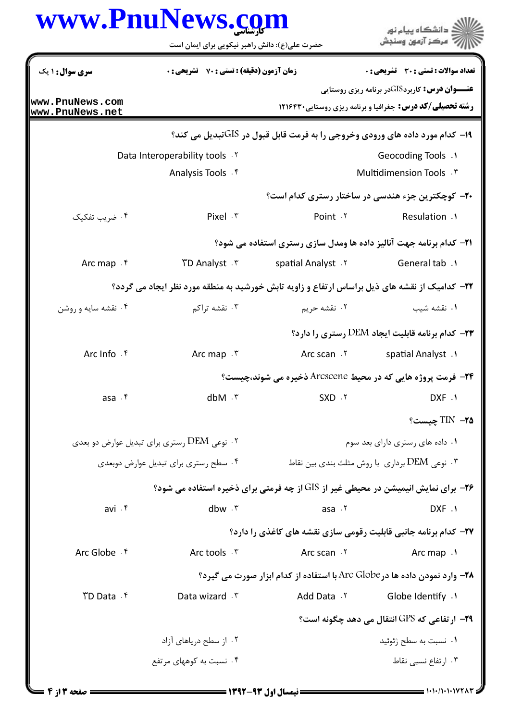|                                      | www.PnuNews.com<br>حضرت علی(ع): دانش راهبر نیکویی برای ایمان است                                      |                                                                                           | ≦ دانشگاه پيام نو <b>ر</b><br>7' مرڪز آزمون وسنڊش                                                                        |
|--------------------------------------|-------------------------------------------------------------------------------------------------------|-------------------------------------------------------------------------------------------|--------------------------------------------------------------------------------------------------------------------------|
| <b>سری سوال :</b> ۱ یک               | <b>زمان آزمون (دقیقه) : تستی : 70 ٪ تشریحی : 0</b>                                                    |                                                                                           | تعداد سوالات : تستي : 30 ٪ تشريحي : 0                                                                                    |
| www.PnuNews.com<br>www.PnuNews.net   |                                                                                                       |                                                                                           | <b>عنـــوان درس:</b> کاربردGISدر برنامه ریزی روستایی<br><b>رشته تحصیلی/کد درس:</b> جغرافیا و برنامه ریزی روستایی ۱۲۱۶۴۳۰ |
|                                      |                                                                                                       | ۱۹- کدام مورد داده های ورودی وخروجی را به فرمت قابل قبول در GISتبدیل می کند؟              |                                                                                                                          |
|                                      | Data Interoperability tools . Y                                                                       |                                                                                           | Geocoding Tools .1                                                                                                       |
|                                      | Analysis Tools . f                                                                                    |                                                                                           | Multidimension Tools . \v                                                                                                |
|                                      |                                                                                                       |                                                                                           | <b>۰۲- کوچکترین جزء هندسی در ساختار رستری کدام است</b> ؟                                                                 |
| ۰۴ ضریب تفکیک                        | Pixel . ٣                                                                                             | Point .Y                                                                                  | Resulation .1                                                                                                            |
|                                      |                                                                                                       | <b>۲۱</b> - کدام برنامه جهت آنالیز داده ها ومدل سازی رستری استفاده می شود؟                |                                                                                                                          |
| Arc map . ۴                          | ۳. TD Analyst                                                                                         | spatial Analyst . Y                                                                       | General tab .1                                                                                                           |
|                                      | <b>۲۲</b> - کدامیک از نقشه های ذیل براساس ارتفاع و زاویه تابش خورشید به منطقه مورد نظر ایجاد می گردد؟ |                                                                                           |                                                                                                                          |
| ۰۴ نقشه سایه و روشن                  | ۰۳ نقشه تراکم                                                                                         | ۰۲ نقشه حریم                                                                              | ۰۱ نقشه شیب                                                                                                              |
|                                      |                                                                                                       |                                                                                           | <b>۲۳</b> - کدام برنامه قابلیت ایجاد DEM رستری را دارد؟                                                                  |
| Arc Info . f                         | Arc map $\cdot$ $\cdot$                                                                               | Arc scan . ٢                                                                              | spatial Analyst.                                                                                                         |
|                                      |                                                                                                       | <b>۲۴</b> - فرمت پروژه هایی که در محیط Arcscene ذخیره می شوند،چیست؟                       |                                                                                                                          |
| asa f                                | $d$ bM $\cdot$ $\mathsf{r}$                                                                           | $SXD \cdot Y$                                                                             | DXF .\                                                                                                                   |
|                                      |                                                                                                       |                                                                                           | TIN -70                                                                                                                  |
|                                      | ۰۲ نوعی DEM رستری برای تبدیل عوارض دو بعدی                                                            |                                                                                           | ۰۱ داده های رستری دارای بعد سوم                                                                                          |
| ۰۴ سطح رستری برای تبدیل عوارض دوبعدی |                                                                                                       |                                                                                           | ۰۳ نوعی $\rm DEM$ برداری با روش مثلث بندی بین نقاط ۰                                                                     |
|                                      |                                                                                                       | <b>۲۶</b> - برای نمایش انیمیشن در محیطی غیر از GIS از چه فرمتی برای ذخیره استفاده می شود؟ |                                                                                                                          |
| avi . ۴                              | dbw .r                                                                                                | asa .٢                                                                                    | DXF .1                                                                                                                   |
|                                      |                                                                                                       | <b>37- کدام برنامه جانبی قابلیت رقومی سازی نقشه های کاغذی را دارد؟</b>                    |                                                                                                                          |
| Arc Globe . f                        | Arc tools . ٣                                                                                         | Arc scan . ٢                                                                              | Arc map .1                                                                                                               |
|                                      |                                                                                                       | <b>۲۸</b> - وارد نمودن داده ها در Arc Globe با استفاده از کدام ابزار صورت می گیرد؟        |                                                                                                                          |
| TD Data f                            | Data wizard . ٣                                                                                       | Add Data Y                                                                                | ۱. Globe Identify                                                                                                        |
|                                      |                                                                                                       |                                                                                           | ۲۹– ارتفاعي که GPS انتقال مي دهد چگونه است؟                                                                              |
|                                      | ۰۲ از سطح دریاهای آزاد                                                                                |                                                                                           | ۰۱ نسبت به سطح ژئوئید                                                                                                    |
|                                      | ۰۴ نسبت به کوههای مرتفع                                                                               |                                                                                           | ۰۳ ارتفاع نسبی نقاط                                                                                                      |
|                                      |                                                                                                       |                                                                                           |                                                                                                                          |